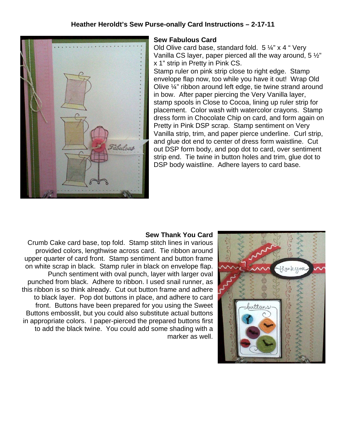# **Heather Heroldt's Sew Purse-onally Card Instructions – 2-17-11**



## **Sew Fabulous Card**

Old Olive card base, standard fold. 5 ¼" x 4 " Very Vanilla CS layer, paper pierced all the way around, 5 ½" x 1" strip in Pretty in Pink CS.

Stamp ruler on pink strip close to right edge. Stamp envelope flap now, too while you have it out! Wrap Old Olive ¼" ribbon around left edge, tie twine strand around in bow. After paper piercing the Very Vanilla layer, stamp spools in Close to Cocoa, lining up ruler strip for placement. Color wash with watercolor crayons. Stamp dress form in Chocolate Chip on card, and form again on Pretty in Pink DSP scrap. Stamp sentiment on Very Vanilla strip, trim, and paper pierce underline. Curl strip, and glue dot end to center of dress form waistline. Cut out DSP form body, and pop dot to card, over sentiment strip end. Tie twine in button holes and trim, glue dot to DSP body waistline. Adhere layers to card base.

#### **Sew Thank You Card**

Crumb Cake card base, top fold. Stamp stitch lines in various provided colors, lengthwise across card. Tie ribbon around upper quarter of card front. Stamp sentiment and button frame on white scrap in black. Stamp ruler in black on envelope flap. Punch sentiment with oval punch, layer with larger oval punched from black. Adhere to ribbon. I used snail runner, as this ribbon is so think already. Cut out button frame and adhere to black layer. Pop dot buttons in place, and adhere to card front. Buttons have been prepared for you using the Sweet Buttons embosslit, but you could also substitute actual buttons in appropriate colors. I paper-pierced the prepared buttons first to add the black twine. You could add some shading with a marker as well.